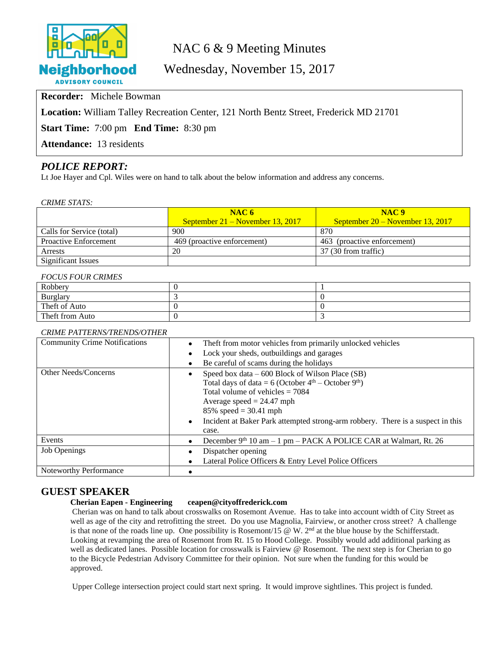

# NAC 6 & 9 Meeting Minutes

Wednesday, November 15, 2017

**Recorder:** Michele Bowman

**Location:** William Talley Recreation Center, 121 North Bentz Street, Frederick MD 21701

**Start Time:** 7:00 pm **End Time:** 8:30 pm

**Attendance:** 13 residents

## *POLICE REPORT:*

Lt Joe Hayer and Cpl. Wiles were on hand to talk about the below information and address any concerns.

*CRIME STATS:*

|                              | NAC6                               | NAC <sub>9</sub>                   |
|------------------------------|------------------------------------|------------------------------------|
|                              | September $21 -$ November 13, 2017 | September $20 -$ November 13, 2017 |
| Calls for Service (total)    | 900                                | 870                                |
| <b>Proactive Enforcement</b> | 469 (proactive enforcement)        | 463 (proactive enforcement)        |
| Arrests                      | 20                                 | 37 (30 from traffic)               |
| <b>Significant Issues</b>    |                                    |                                    |

#### *FOCUS FOUR CRIMES*

| Robbery         |  |
|-----------------|--|
| Burglary        |  |
| Theft of Auto   |  |
| Theft from Auto |  |

#### *CRIME PATTERNS/TRENDS/OTHER*

| <b>Community Crime Notifications</b> | The ft from motor vehicles from primarily unlocked vehicles                                  |  |
|--------------------------------------|----------------------------------------------------------------------------------------------|--|
|                                      | Lock your sheds, outbuildings and garages                                                    |  |
|                                      | Be careful of scams during the holidays                                                      |  |
| Other Needs/Concerns                 | Speed box data – 600 Block of Wilson Place (SB)                                              |  |
|                                      | Total days of data = $6$ (October $4th$ – October $9th$ )                                    |  |
|                                      | Total volume of vehicles $= 7084$                                                            |  |
|                                      | Average speed $= 24.47$ mph                                                                  |  |
|                                      | 85% speed = $30.41$ mph                                                                      |  |
|                                      | Incident at Baker Park attempted strong-arm robbery. There is a suspect in this<br>$\bullet$ |  |
|                                      | case.                                                                                        |  |
| Events                               | December 9th 10 am - 1 pm - PACK A POLICE CAR at Walmart, Rt. 26                             |  |
| <b>Job Openings</b>                  | Dispatcher opening                                                                           |  |
|                                      | Lateral Police Officers & Entry Level Police Officers                                        |  |
| Noteworthy Performance               |                                                                                              |  |

#### **GUEST SPEAKER**

#### **Cherian Eapen - Engineering ceapen@cityoffrederick.com**

Cherian was on hand to talk about crosswalks on Rosemont Avenue. Has to take into account width of City Street as well as age of the city and retrofitting the street. Do you use Magnolia, Fairview, or another cross street? A challenge is that none of the roads line up. One possibility is Rosemont/15  $\omega$  W. 2<sup>nd</sup> at the blue house by the Schifferstadt. Looking at revamping the area of Rosemont from Rt. 15 to Hood College. Possibly would add additional parking as well as dedicated lanes. Possible location for crosswalk is Fairview @ Rosemont. The next step is for Cherian to go to the Bicycle Pedestrian Advisory Committee for their opinion. Not sure when the funding for this would be approved.

Upper College intersection project could start next spring. It would improve sightlines. This project is funded.